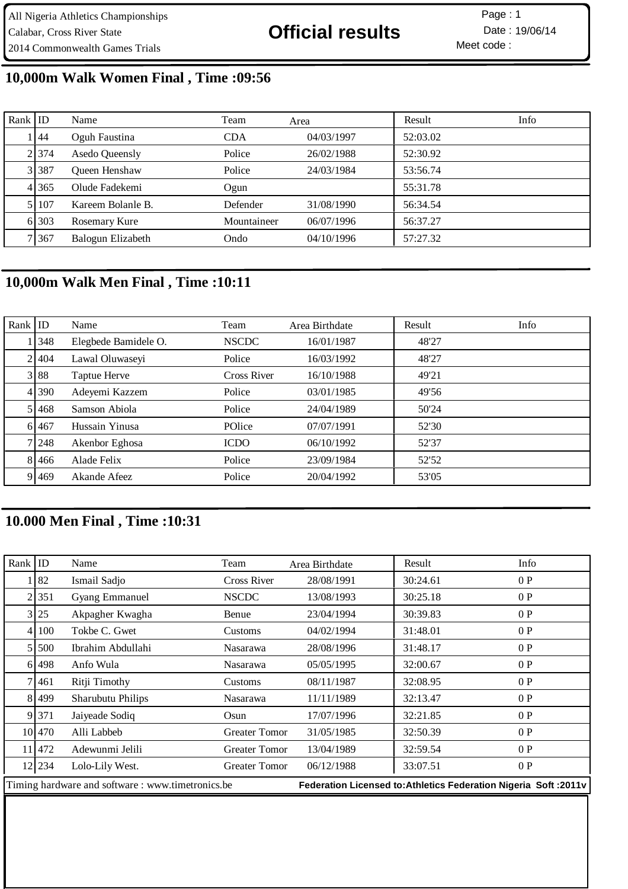Meet code : Page: 1

## **10,000m Walk Women Final , Time :09:56**

| Rank ID |             | Name              | Team        | Area       | Result   | Info |
|---------|-------------|-------------------|-------------|------------|----------|------|
|         | 44          | Oguh Faustina     | <b>CDA</b>  | 04/03/1997 | 52:03.02 |      |
|         | 21374       | Asedo Queensly    | Police      | 26/02/1988 | 52:30.92 |      |
|         | 3 3 3 3 3 7 | Queen Henshaw     | Police      | 24/03/1984 | 53:56.74 |      |
|         | 4 365       | Olude Fadekemi    | Ogun        |            | 55:31.78 |      |
|         | 5 107       | Kareem Bolanle B. | Defender    | 31/08/1990 | 56:34.54 |      |
|         | 6 303       | Rosemary Kure     | Mountaineer | 06/07/1996 | 56:37.27 |      |
|         | 7 367       | Balogun Elizabeth | Ondo        | 04/10/1996 | 57:27.32 |      |

## **10,000m Walk Men Final , Time :10:11**

| Rank $ $ ID |           | Name                 | Team         | Area Birthdate | Result | Info |
|-------------|-----------|----------------------|--------------|----------------|--------|------|
|             | 1   348   | Elegbede Bamidele O. | <b>NSCDC</b> | 16/01/1987     | 48'27  |      |
|             | 2 404     | Lawal Oluwaseyi      | Police       | 16/03/1992     | 48'27  |      |
|             | 3 88      | Taptue Herve         | Cross River  | 16/10/1988     | 49'21  |      |
|             | 4 390     | Adeyemi Kazzem       | Police       | 03/01/1985     | 49'56  |      |
|             | 51468     | Samson Abiola        | Police       | 24/04/1989     | 50'24  |      |
|             | 6 467     | Hussain Yinusa       | POlice       | 07/07/1991     | 52'30  |      |
|             | 7 248     | Akenbor Eghosa       | <b>ICDO</b>  | 06/10/1992     | 52'37  |      |
|             | 8 4 4 6 6 | Alade Felix          | Police       | 23/09/1984     | 52'52  |      |
|             | 9 469     | Akande Afeez         | Police       | 20/04/1992     | 53'05  |      |

## **10.000 Men Final , Time :10:31**

| Rank   ID                                        |            | Name                  | Team                                                             | Area Birthdate | Result   | Info |
|--------------------------------------------------|------------|-----------------------|------------------------------------------------------------------|----------------|----------|------|
|                                                  | 82         | Ismail Sadjo          | <b>Cross River</b>                                               | 28/08/1991     | 30:24.61 | 0P   |
|                                                  | 2 351      | <b>Gyang Emmanuel</b> | <b>NSCDC</b>                                                     | 13/08/1993     | 30:25.18 | 0P   |
|                                                  | 3 25       | Akpagher Kwagha       | Benue                                                            | 23/04/1994     | 30:39.83 | 0P   |
|                                                  | 4 100      | Tokbe C. Gwet         | Customs                                                          | 04/02/1994     | 31:48.01 | 0P   |
|                                                  | 5 5 5 0 0  | Ibrahim Abdullahi     | <b>Nasarawa</b>                                                  | 28/08/1996     | 31:48.17 | 0P   |
|                                                  | 61498      | Anfo Wula             | <b>Nasarawa</b>                                                  | 05/05/1995     | 32:00.67 | 0P   |
|                                                  | 7 4 6 1    | Ritji Timothy         | Customs                                                          | 08/11/1987     | 32:08.95 | 0P   |
|                                                  | 8 499      | Sharubutu Philips     | <b>Nasarawa</b>                                                  | 11/11/1989     | 32:13.47 | 0P   |
|                                                  | 9 371      | Jaiyeade Sodiq        | Osun                                                             | 17/07/1996     | 32:21.85 | 0P   |
|                                                  | 101470     | Alli Labbeb           | <b>Greater Tomor</b>                                             | 31/05/1985     | 32:50.39 | 0P   |
| 11                                               | 472        | Adewunmi Jelili       | <b>Greater Tomor</b>                                             | 13/04/1989     | 32:59.54 | 0P   |
|                                                  | $12$   234 | Lolo-Lily West.       | <b>Greater Tomor</b>                                             | 06/12/1988     | 33:07.51 | 0P   |
| Timing hardware and software: www.timetronics.be |            |                       | Federation Licensed to: Athletics Federation Nigeria Soft: 2011v |                |          |      |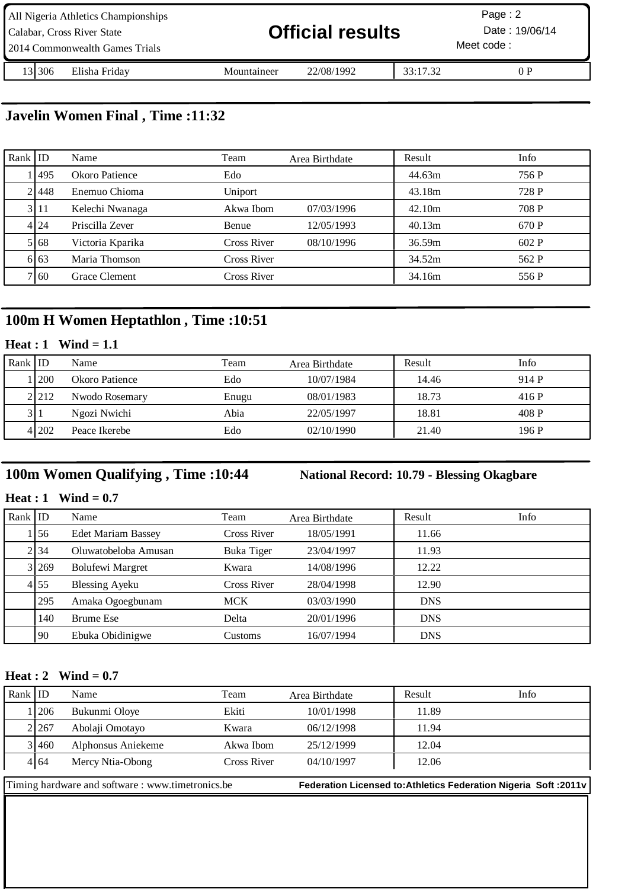| All Nigeria Athletics Championships<br>Calabar, Cross River State<br>2014 Commonwealth Games Trials | <b>Official results</b> |            |          | Page: $2$<br>Date: 19/06/14<br>Meet code: |
|-----------------------------------------------------------------------------------------------------|-------------------------|------------|----------|-------------------------------------------|
| 13 30 6<br>Elisha Friday                                                                            | Mountaineer             | 22/08/1992 | 33:17.32 | 0P                                        |

**Javelin Women Final , Time :11:32**

| Rank ID |         | Name             | Team               | Area Birthdate | Result | Info  |
|---------|---------|------------------|--------------------|----------------|--------|-------|
|         | 1495    | Okoro Patience   | Edo                |                | 44.63m | 756 P |
|         | 21448   | Enemuo Chioma    | Uniport            |                | 43.18m | 728 P |
|         | 3 11    | Kelechi Nwanaga  | Akwa Ibom          | 07/03/1996     | 42.10m | 708 P |
|         | 4 24    | Priscilla Zever  | Benue              | 12/05/1993     | 40.13m | 670 P |
|         | 5 6 6 8 | Victoria Kparika | <b>Cross River</b> | 08/10/1996     | 36.59m | 602P  |
|         | 6163    | Maria Thomson    | Cross River        |                | 34.52m | 562 P |
|         | 7160    | Grace Clement    | Cross River        |                | 34.16m | 556 P |

## **100m H Women Heptathlon , Time :10:51**

### **Heat : 1 Wind = 1.1**

| Rank ID |             | Name           | Team  | Area Birthdate | Result | Info  |
|---------|-------------|----------------|-------|----------------|--------|-------|
|         | <b>1200</b> | Okoro Patience | Edo   | 10/07/1984     | 14.46  | 914 P |
|         | 2.212       | Nwodo Rosemary | Enugu | 08/01/1983     | 18.73  | 416 P |
|         | 3 1         | Ngozi Nwichi   | Abia  | 22/05/1997     | 18.81  | 408 P |
|         | 4 202       | Peace Ikerebe  | Edo   | 02/10/1990     | 21.40  | 196 P |

## **100m Women Qualifying , Time :10:44 National Record: 10.79 - Blessing Okagbare**

**Heat : 1 Wind = 0.7**

| Rank $ $ ID |       | Name                      | Team        | Area Birthdate | Result     | Info |
|-------------|-------|---------------------------|-------------|----------------|------------|------|
|             | 156   | <b>Edet Mariam Bassey</b> | Cross River | 18/05/1991     | 11.66      |      |
|             | 2134  | Oluwatobeloba Amusan      | Buka Tiger  | 23/04/1997     | 11.93      |      |
|             | 3 269 | <b>Bolufewi Margret</b>   | Kwara       | 14/08/1996     | 12.22      |      |
|             | 4155  | <b>Blessing Ayeku</b>     | Cross River | 28/04/1998     | 12.90      |      |
|             | 295   | Amaka Ogoegbunam          | <b>MCK</b>  | 03/03/1990     | <b>DNS</b> |      |
|             | 140   | Brume Ese                 | Delta       | 20/01/1996     | <b>DNS</b> |      |
|             | 90    | Ebuka Obidinigwe          | Customs     | 16/07/1994     | <b>DNS</b> |      |

#### **Heat : 2 Wind = 0.7**

| Rank $ $ ID |       | Name                                              | Team        | Area Birthdate | Result                                                            | Info |
|-------------|-------|---------------------------------------------------|-------------|----------------|-------------------------------------------------------------------|------|
|             | 1206  | Bukunmi Oloye                                     | Ekiti       | 10/01/1998     | 11.89                                                             |      |
|             | 2.267 | Abolaji Omotayo                                   | Kwara       | 06/12/1998     | 11.94                                                             |      |
|             | 3 460 | Alphonsus Aniekeme                                | Akwa Ibom   | 25/12/1999     | 12.04                                                             |      |
|             | 4 64  | Mercy Ntia-Obong                                  | Cross River | 04/10/1997     | 12.06                                                             |      |
|             |       | Timing hardware and software : www.timetronics.be |             |                | Federation Licensed to: Athletics Federation Nigeria Soft : 2011v |      |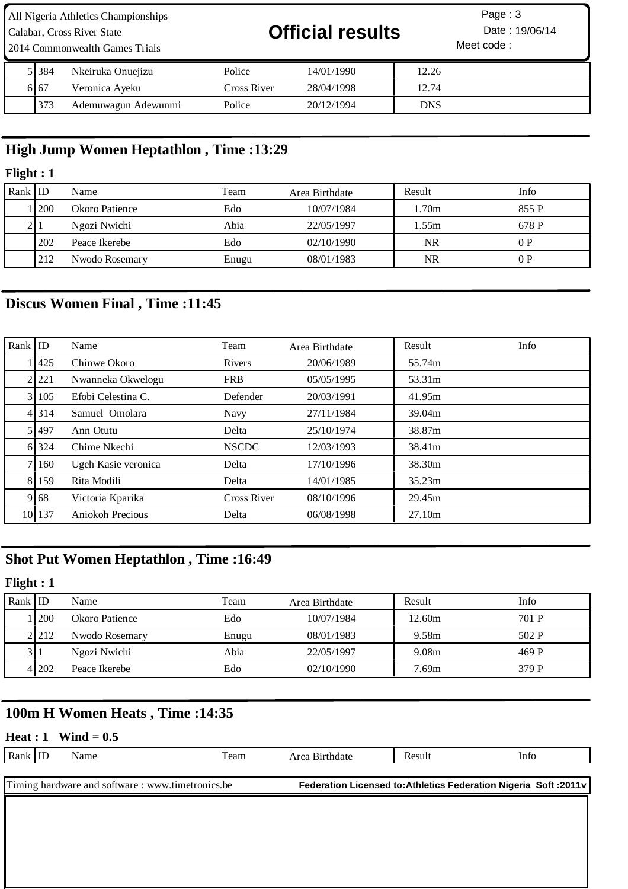| All Nigeria Athletics Championships<br>Calabar, Cross River State<br>2014 Commonwealth Games Trials |         |                     | <b>Official results</b> | Page: $3$<br>Date: 19/06/14<br>Meet code: |            |  |
|-----------------------------------------------------------------------------------------------------|---------|---------------------|-------------------------|-------------------------------------------|------------|--|
|                                                                                                     | 5 384   | Nkeiruka Onuejizu   | Police                  | 14/01/1990                                | 12.26      |  |
|                                                                                                     | 6 6 6 7 | Veronica Ayeku      | Cross River             | 28/04/1998                                | 12.74      |  |
|                                                                                                     | 373     | Ademuwagun Adewunmi | Police                  | 20/12/1994                                | <b>DNS</b> |  |

## **High Jump Women Heptathlon , Time :13:29**

### **Flight : 1**

| Rank | l ID       | Name           | Team  | Area Birthdate | Result | Info  |
|------|------------|----------------|-------|----------------|--------|-------|
|      | <b>200</b> | Okoro Patience | Edo   | 10/07/1984     | .70m   | 855 P |
|      |            | Ngozi Nwichi   | Abia  | 22/05/1997     | l.55m  | 678 P |
|      | 202        | Peace Ikerebe  | Edo   | 02/10/1990     | NR     | 0P    |
|      | 212        | Nwodo Rosemary | Enugu | 08/01/1983     | NR     | 0P    |

# **Discus Women Final , Time :11:45**

| Rank $ $ ID |             | Name                | Team         | Area Birthdate | Result | Info |
|-------------|-------------|---------------------|--------------|----------------|--------|------|
|             | <b>1425</b> | Chinwe Okoro        | Rivers       | 20/06/1989     | 55.74m |      |
|             | 2 221       | Nwanneka Okwelogu   | <b>FRB</b>   | 05/05/1995     | 53.31m |      |
|             | 31105       | Efobi Celestina C.  | Defender     | 20/03/1991     | 41.95m |      |
|             | 4 3 1 4     | Samuel Omolara      | Navy         | 27/11/1984     | 39.04m |      |
|             | 51497       | Ann Otutu           | Delta        | 25/10/1974     | 38.87m |      |
|             | 6 324       | Chime Nkechi        | <b>NSCDC</b> | 12/03/1993     | 38.41m |      |
|             | 7   160     | Ugeh Kasie veronica | Delta        | 17/10/1996     | 38.30m |      |
|             | 8 159       | Rita Modili         | Delta        | 14/01/1985     | 35.23m |      |
|             | 9168        | Victoria Kparika    | Cross River  | 08/10/1996     | 29.45m |      |
|             | 10 137      | Aniokoh Precious    | Delta        | 06/08/1998     | 27.10m |      |

## **Shot Put Women Heptathlon , Time :16:49**

## **Flight : 1**

| Rank $ ID$ |             | Name           | Team  | Area Birthdate | Result | Info  |
|------------|-------------|----------------|-------|----------------|--------|-------|
|            | <b>1200</b> | Okoro Patience | Edo   | 10/07/1984     | 12.60m | 701 P |
|            | 2.212       | Nwodo Rosemary | Enugu | 08/01/1983     | 9.58m  | 502 P |
| 31         |             | Ngozi Nwichi   | Abia  | 22/05/1997     | 9.08m  | 469 P |
|            | 41202       | Peace Ikerebe  | Edo   | 02/10/1990     | '.69m  | 379 P |

## **100m H Women Heats , Time :14:35**

#### **Heat : 1 Wind = 0.5**

| Rank $ $ ID | Name                                              | Team | Area Birthdate | Result | Info                                                              |
|-------------|---------------------------------------------------|------|----------------|--------|-------------------------------------------------------------------|
|             | Timing hardware and software : www.timetronics.be |      |                |        | Federation Licensed to: Athletics Federation Nigeria Soft : 2011v |
|             |                                                   |      |                |        |                                                                   |
|             |                                                   |      |                |        |                                                                   |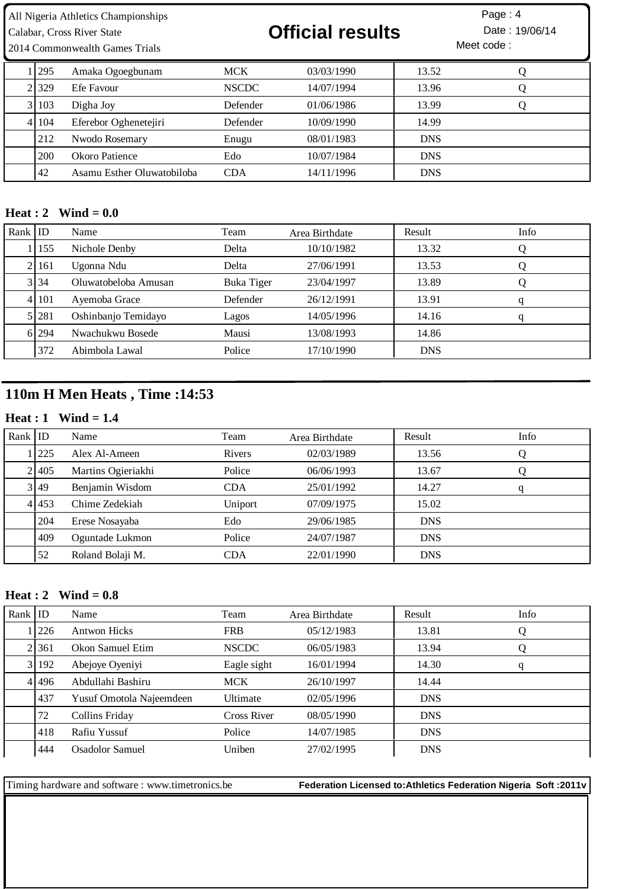| All Nigeria Athletics Championships |           | Page : 4 |
|-------------------------------------|-----------|----------|
|                                     | _ _ _ _ _ |          |

2014 Commonwealth Games Trials

# Calabar, Cross River State **19/06/14 Official results** Date : 19/06/14

Meet code : Page: 4

| . 1295    | Amaka Ogoegbunam           | <b>MCK</b>      | 03/03/1990 | 13.52      |  |
|-----------|----------------------------|-----------------|------------|------------|--|
| 2.329     | Efe Favour                 | <b>NSCDC</b>    | 14/07/1994 | 13.96      |  |
| 3 103     | Digha Joy                  | Defender        | 01/06/1986 | 13.99      |  |
| 4 1 1 0 4 | Eferebor Oghenetejiri      | <b>Defender</b> | 10/09/1990 | 14.99      |  |
| 212       | Nwodo Rosemary             | Enugu           | 08/01/1983 | <b>DNS</b> |  |
| 200       | Okoro Patience             | Edo             | 10/07/1984 | <b>DNS</b> |  |
| 42        | Asamu Esther Oluwatobiloba | <b>CDA</b>      | 14/11/1996 | <b>DNS</b> |  |

#### **Heat : 2 Wind = 0.0**

| Rank ID |           | Name                 | Team       | Area Birthdate | Result     | Info |
|---------|-----------|----------------------|------------|----------------|------------|------|
|         | 155       | Nichole Denby        | Delta      | 10/10/1982     | 13.32      |      |
|         | 2161      | Ugonna Ndu           | Delta      | 27/06/1991     | 13.53      |      |
|         | 3 34      | Oluwatobeloba Amusan | Buka Tiger | 23/04/1997     | 13.89      |      |
|         | 4 1 1 0 1 | Ayemoba Grace        | Defender   | 26/12/1991     | 13.91      | q    |
|         | 5 281     | Oshinbanjo Temidayo  | Lagos      | 14/05/1996     | 14.16      | q    |
|         | 6 294     | Nwachukwu Bosede     | Mausi      | 13/08/1993     | 14.86      |      |
|         | 372       | Abimbola Lawal       | Police     | 17/10/1990     | <b>DNS</b> |      |

## **110m H Men Heats , Time :14:53**

#### **Heat : 1 Wind = 1.4**

| Rank $ $ ID |       | Name               | Team       | Area Birthdate | Result     | Info |
|-------------|-------|--------------------|------------|----------------|------------|------|
|             | 1 225 | Alex Al-Ameen      | Rivers     | 02/03/1989     | 13.56      |      |
|             | 21405 | Martins Ogieriakhi | Police     | 06/06/1993     | 13.67      |      |
|             | 3 49  | Benjamin Wisdom    | <b>CDA</b> | 25/01/1992     | 14.27      | q    |
|             | 4 453 | Chime Zedekiah     | Uniport    | 07/09/1975     | 15.02      |      |
|             | 204   | Erese Nosayaba     | Edo        | 29/06/1985     | <b>DNS</b> |      |
|             | 409   | Oguntade Lukmon    | Police     | 24/07/1987     | <b>DNS</b> |      |
|             | 52    | Roland Bolaji M.   | CDA        | 22/01/1990     | <b>DNS</b> |      |

#### **Heat : 2 Wind = 0.8**

| Rank $ $ ID |       | Name                     | Team               | Area Birthdate | Result     | Info |
|-------------|-------|--------------------------|--------------------|----------------|------------|------|
|             | 1226  | <b>Antwon Hicks</b>      | <b>FRB</b>         | 05/12/1983     | 13.81      | Q    |
|             | 21361 | Okon Samuel Etim         | <b>NSCDC</b>       | 06/05/1983     | 13.94      | Q    |
|             | 3 192 | Abejoye Oyeniyi          | Eagle sight        | 16/01/1994     | 14.30      | q    |
|             | 41496 | Abdullahi Bashiru        | <b>MCK</b>         | 26/10/1997     | 14.44      |      |
|             | 437   | Yusuf Omotola Najeemdeen | Ultimate           | 02/05/1996     | <b>DNS</b> |      |
|             | 72    | Collins Friday           | <b>Cross River</b> | 08/05/1990     | <b>DNS</b> |      |
|             | 418   | Rafiu Yussuf             | Police             | 14/07/1985     | <b>DNS</b> |      |
|             | 444   | Osadolor Samuel          | Uniben             | 27/02/1995     | <b>DNS</b> |      |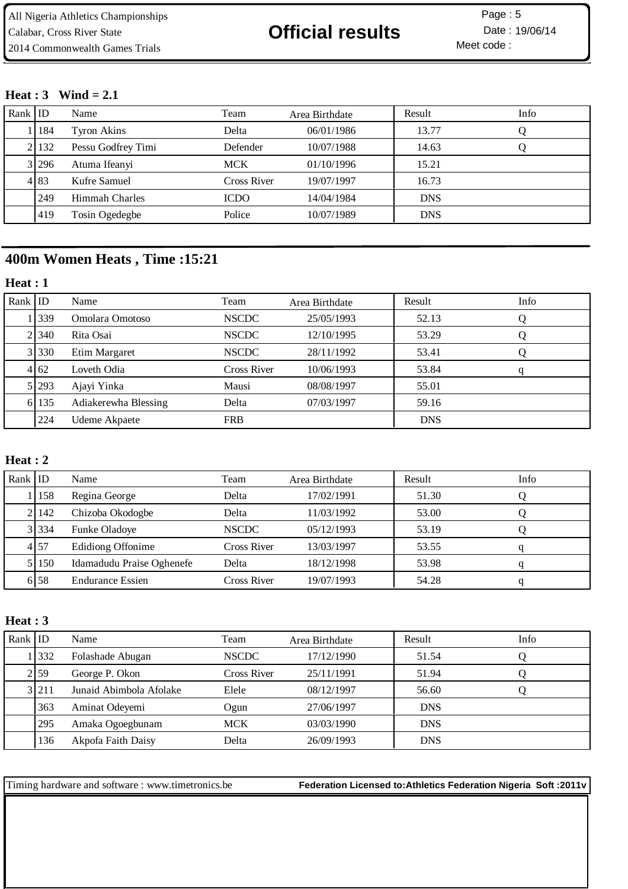Meet code : Page: 5

#### **Heat : 3 Wind = 2.1**

| Rank $ $ ID |       | Name                  | Team        | Area Birthdate | Result     | Info |
|-------------|-------|-----------------------|-------------|----------------|------------|------|
|             | 184   | Tyron Akins           | Delta       | 06/01/1986     | 13.77      |      |
|             | 2 132 | Pessu Godfrey Timi    | Defender    | 10/07/1988     | 14.63      |      |
|             | 3 296 | Atuma Ifeanyi         | <b>MCK</b>  | 01/10/1996     | 15.21      |      |
|             | 4 8 3 | Kufre Samuel          | Cross River | 19/07/1997     | 16.73      |      |
|             | l 249 | <b>Himmah Charles</b> | <b>ICDO</b> | 14/04/1984     | <b>DNS</b> |      |
|             | 1419  | Tosin Ogedegbe        | Police      | 10/07/1989     | <b>DNS</b> |      |

### **400m Women Heats , Time :15:21**

#### **Heat : 1**

| Rank $ $ ID |                  | Name                 | Team         | Area Birthdate | Result     | Info |
|-------------|------------------|----------------------|--------------|----------------|------------|------|
|             | 1339             | Omolara Omotoso      | <b>NSCDC</b> | 25/05/1993     | 52.13      |      |
|             | 21340            | Rita Osai            | <b>NSCDC</b> | 12/10/1995     | 53.29      | Ő    |
|             | 3 330            | Etim Margaret        | <b>NSCDC</b> | 28/11/1992     | 53.41      |      |
|             | $4\overline{62}$ | Loveth Odia          | Cross River  | 10/06/1993     | 53.84      | q    |
|             | 5 293            | Ajayi Yinka          | Mausi        | 08/08/1997     | 55.01      |      |
|             | 6 135            | Adiakerewha Blessing | Delta        | 07/03/1997     | 59.16      |      |
|             | 224              | Udeme Akpaete        | <b>FRB</b>   |                | <b>DNS</b> |      |

### **Heat : 2**

| Rank ID |           | Name                      | Team         | Area Birthdate | Result | Info |
|---------|-----------|---------------------------|--------------|----------------|--------|------|
|         | 158       | Regina George             | Delta        | 17/02/1991     | 51.30  |      |
|         | 2   142   | Chizoba Okodogbe          | Delta        | 11/03/1992     | 53.00  |      |
|         | 3 3 3 3 4 | <b>Funke Oladoye</b>      | <b>NSCDC</b> | 05/12/1993     | 53.19  |      |
|         | 4 57      | <b>Edidiong Offonime</b>  | Cross River  | 13/03/1997     | 53.55  |      |
|         | 5 150     | Idamadudu Praise Oghenefe | Delta        | 18/12/1998     | 53.98  |      |
|         | 6158      | <b>Endurance Essien</b>   | Cross River  | 19/07/1993     | 54.28  |      |

#### **Heat : 3**

| Rank $ $ ID |         | Name                    | Team         | Area Birthdate | Result     | Info |
|-------------|---------|-------------------------|--------------|----------------|------------|------|
|             | 1332    | Folashade Abugan        | <b>NSCDC</b> | 17/12/1990     | 51.54      |      |
|             | 2 59    | George P. Okon          | Cross River  | 25/11/1991     | 51.94      |      |
|             | 3 2 1 1 | Junaid Abimbola Afolake | Elele        | 08/12/1997     | 56.60      |      |
|             | 363     | Aminat Odeyemi          | Ogun         | 27/06/1997     | <b>DNS</b> |      |
|             | 295     | Amaka Ogoegbunam        | <b>MCK</b>   | 03/03/1990     | <b>DNS</b> |      |
|             | 136     | Akpofa Faith Daisy      | Delta        | 26/09/1993     | <b>DNS</b> |      |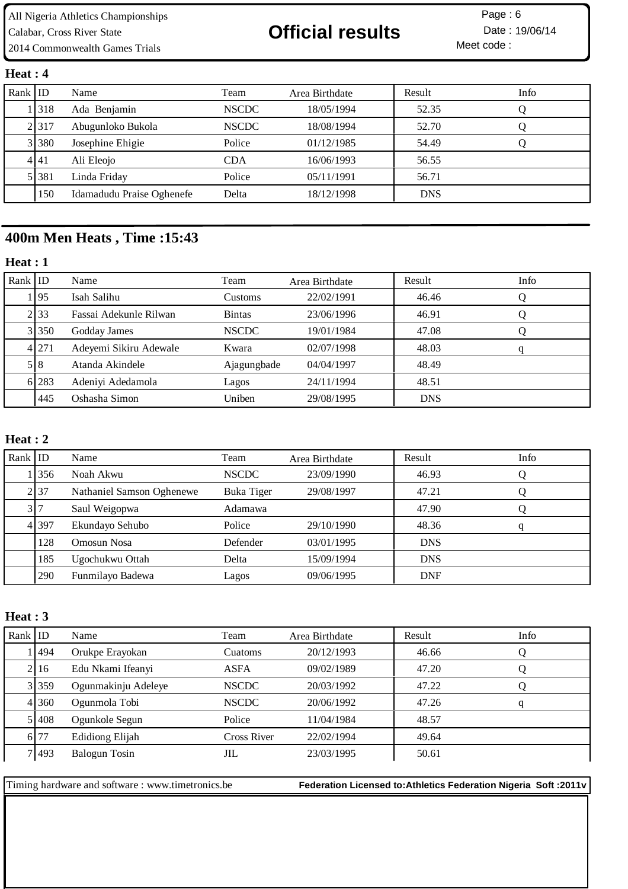All Nigeria Athletics Championships Calabar, Cross River State **19/06/14 Official results** Date : 19/06/14 2014 Commonwealth Games Trials

Meet code : Page: 6

#### **Heat : 4**

| Rank ID |             | Name                      | Team         | Area Birthdate | Result     | Info |
|---------|-------------|---------------------------|--------------|----------------|------------|------|
|         | . 1318      | Ada Benjamin              | <b>NSCDC</b> | 18/05/1994     | 52.35      |      |
|         | 2317        | Abugunloko Bukola         | <b>NSCDC</b> | 18/08/1994     | 52.70      |      |
|         | 3 3 3 3 8 0 | Josephine Ehigie          | Police       | 01/12/1985     | 54.49      |      |
|         | 4141        | Ali Eleojo                | <b>CDA</b>   | 16/06/1993     | 56.55      |      |
|         | 5 381       | Linda Friday              | Police       | 05/11/1991     | 56.71      |      |
|         | 150         | Idamadudu Praise Oghenefe | Delta        | 18/12/1998     | <b>DNS</b> |      |

## **400m Men Heats , Time :15:43**

#### **Heat : 1**

| Rank ID |         | Name                   | Team          | Area Birthdate | Result     | Info |
|---------|---------|------------------------|---------------|----------------|------------|------|
|         | 1195    | Isah Salihu            | Customs       | 22/02/1991     | 46.46      |      |
|         | 2.33    | Fassai Adekunle Rilwan | <b>Bintas</b> | 23/06/1996     | 46.91      |      |
|         | 3 350   | Godday James           | <b>NSCDC</b>  | 19/01/1984     | 47.08      |      |
|         | 4 2 7 1 | Adeyemi Sikiru Adewale | Kwara         | 02/07/1998     | 48.03      | q    |
|         | 5 8     | Atanda Akindele        | Ajagungbade   | 04/04/1997     | 48.49      |      |
|         | 6 283   | Adeniyi Adedamola      | Lagos         | 24/11/1994     | 48.51      |      |
|         | 1445    | Oshasha Simon          | Uniben        | 29/08/1995     | <b>DNS</b> |      |

#### **Heat : 2**

| Rank $ $ ID |       | Name                      | Team         | Area Birthdate | Result     | Info |
|-------------|-------|---------------------------|--------------|----------------|------------|------|
|             | 1356  | Noah Akwu                 | <b>NSCDC</b> | 23/09/1990     | 46.93      |      |
|             | 2 37  | Nathaniel Samson Oghenewe | Buka Tiger   | 29/08/1997     | 47.21      |      |
|             | 317   | Saul Weigopwa             | Adamawa      |                | 47.90      |      |
|             | 4 397 | Ekundayo Sehubo           | Police       | 29/10/1990     | 48.36      |      |
|             | 128   | Omosun Nosa               | Defender     | 03/01/1995     | <b>DNS</b> |      |
|             | 185   | Ugochukwu Ottah           | Delta        | 15/09/1994     | <b>DNS</b> |      |
|             | 290   | Funmilayo Badewa          | Lagos        | 09/06/1995     | <b>DNF</b> |      |

#### **Heat : 3**

| Rank $ $ ID |       | Name                 | Team         | Area Birthdate | Result | Info |
|-------------|-------|----------------------|--------------|----------------|--------|------|
|             | 1494  | Orukpe Erayokan      | Cuatoms      | 20/12/1993     | 46.66  |      |
|             | 2116  | Edu Nkami Ifeanyi    | ASFA         | 09/02/1989     | 47.20  |      |
|             | 3 359 | Ogunmakinju Adeleye  | <b>NSCDC</b> | 20/03/1992     | 47.22  |      |
|             | 4 360 | Ogunmola Tobi        | <b>NSCDC</b> | 20/06/1992     | 47.26  | q    |
|             | 51408 | Ogunkole Segun       | Police       | 11/04/1984     | 48.57  |      |
|             | 6.77  | Edidiong Elijah      | Cross River  | 22/02/1994     | 49.64  |      |
|             | 7 493 | <b>Balogun Tosin</b> | JIL          | 23/03/1995     | 50.61  |      |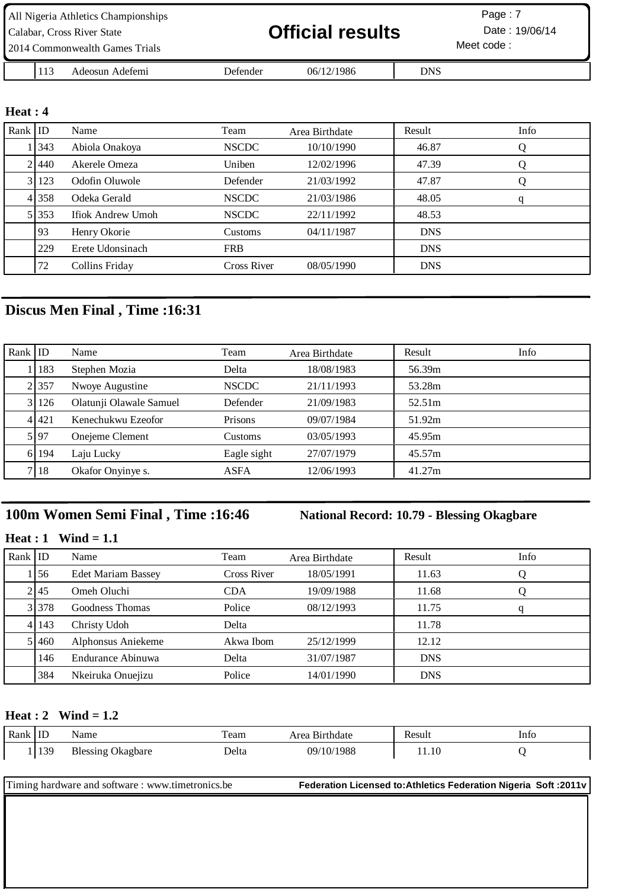| All Nigeria Athletics Championships |     |                 |                         |            |                | Page: 7 |
|-------------------------------------|-----|-----------------|-------------------------|------------|----------------|---------|
| Calabar, Cross River State          |     |                 | <b>Official results</b> |            | Date: 19/06/14 |         |
| 2014 Commonwealth Games Trials      |     |                 |                         |            | Meet code:     |         |
|                                     | 113 | Adeosun Adefemi | Defender                | 06/12/1986 | <b>DNS</b>     |         |

#### **Heat : 4**

| Rank $ $ ID |         | Name              | Team               | Area Birthdate | Result     | Info |
|-------------|---------|-------------------|--------------------|----------------|------------|------|
|             | 1   343 | Abiola Onakoya    | <b>NSCDC</b>       | 10/10/1990     | 46.87      | Q    |
|             | 21440   | Akerele Omeza     | Uniben             | 12/02/1996     | 47.39      | Q    |
|             | 3123    | Odofin Oluwole    | Defender           | 21/03/1992     | 47.87      | Q    |
|             | 41358   | Odeka Gerald      | <b>NSCDC</b>       | 21/03/1986     | 48.05      | q    |
|             | 5 353   | Ifiok Andrew Umoh | <b>NSCDC</b>       | 22/11/1992     | 48.53      |      |
|             | 93      | Henry Okorie      | Customs            | 04/11/1987     | <b>DNS</b> |      |
|             | 229     | Erete Udonsinach  | <b>FRB</b>         |                | <b>DNS</b> |      |
|             | 72      | Collins Friday    | <b>Cross River</b> | 08/05/1990     | <b>DNS</b> |      |

## **Discus Men Final , Time :16:31**

| Rank $ $ ID |           | Name                    | Team         | Area Birthdate | Result | Info |
|-------------|-----------|-------------------------|--------------|----------------|--------|------|
|             | 183       | Stephen Mozia           | Delta        | 18/08/1983     | 56.39m |      |
|             | 2 357     | Nwoye Augustine         | <b>NSCDC</b> | 21/11/1993     | 53.28m |      |
|             | 3 126     | Olatunji Olawale Samuel | Defender     | 21/09/1983     | 52.51m |      |
|             | 4 4 4 2 1 | Kenechukwu Ezeofor      | Prisons      | 09/07/1984     | 51.92m |      |
|             | 5 97      | Onejeme Clement         | Customs      | 03/05/1993     | 45.95m |      |
|             | 6 194     | Laju Lucky              | Eagle sight  | 27/07/1979     | 45.57m |      |
|             | 7   18    | Okafor Onyinye s.       | ASFA         | 12/06/1993     | 41.27m |      |

## **100m Women Semi Final , Time :16:46 National Record: 10.79 - Blessing Okagbare**

#### **Heat : 1 Wind = 1.1**

| Rank ID |           | Name                      | Team        | Area Birthdate | Result     | Info |
|---------|-----------|---------------------------|-------------|----------------|------------|------|
|         | 1156      | <b>Edet Mariam Bassey</b> | Cross River | 18/05/1991     | 11.63      |      |
|         | 2 45      | Omeh Oluchi               | <b>CDA</b>  | 19/09/1988     | 11.68      |      |
|         | 3 3 3 7 8 | Goodness Thomas           | Police      | 08/12/1993     | 11.75      | q    |
|         | 4 143     | Christy Udoh              | Delta       |                | 11.78      |      |
|         | 5 460     | Alphonsus Aniekeme        | Akwa Ibom   | 25/12/1999     | 12.12      |      |
|         | 146       | Endurance Abinuwa         | Delta       | 31/07/1987     | <b>DNS</b> |      |
|         | 384       | Nkeiruka Onuejizu         | Police      | 14/01/1990     | <b>DNS</b> |      |

#### **Heat : 2 Wind = 1.2**

| Rank | .<br>工工                         | Name         | $\sim$<br>ганн<br>. |              | 011<br>ാu.<br>. | Into |
|------|---------------------------------|--------------|---------------------|--------------|-----------------|------|
|      | $\overline{\phantom{a}}$<br>135 | kagbare<br>ັ | elta<br>$   -$      | 1988 1<br>ገባ | 11.10           |      |

| Timing hardware and software : www.timetronics.be | Federation Licensed to: Athletics Federation Nigeria Soft: 2011v |
|---------------------------------------------------|------------------------------------------------------------------|
|                                                   |                                                                  |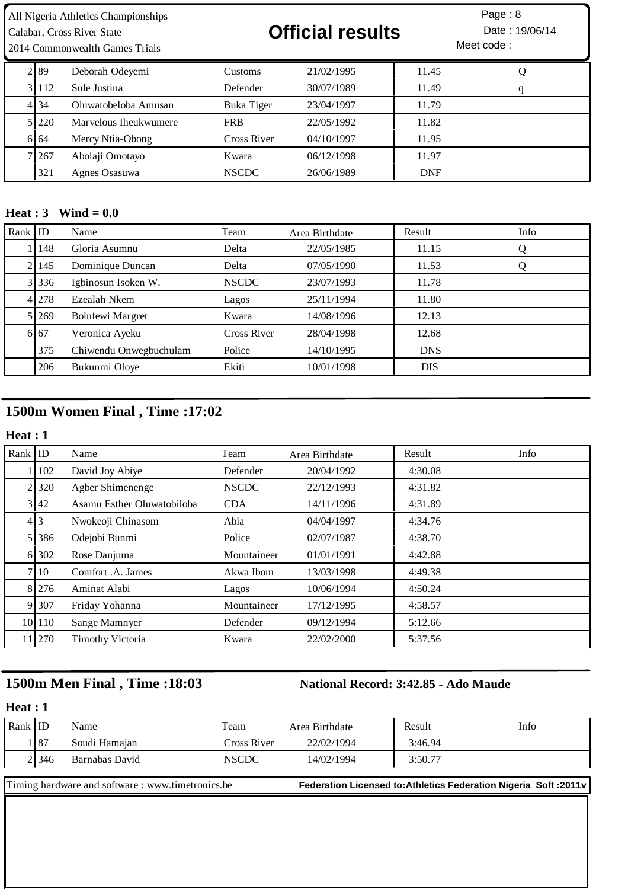| All Nigeria Athletics Championships | Page: 8 |
|-------------------------------------|---------|
|                                     |         |

## 2014 Commonwealth Games Trials

# Calabar, Cross River State **19/06/14 Official results** Date : 19/06/14



| 2189  | Deborah Odeyemi       | <b>Customs</b> | 21/02/1995 | 11.45      |   |
|-------|-----------------------|----------------|------------|------------|---|
| 31112 | Sule Justina          | Defender       | 30/07/1989 | 11.49      | q |
| 4 3 4 | Oluwatobeloba Amusan  | Buka Tiger     | 23/04/1997 | 11.79      |   |
| 5 220 | Marvelous Iheukwumere | <b>FRB</b>     | 22/05/1992 | 11.82      |   |
| 6164  | Mercy Ntia-Obong      | Cross River    | 04/10/1997 | 11.95      |   |
| 7 267 | Abolaji Omotayo       | Kwara          | 06/12/1998 | 11.97      |   |
| 321   | Agnes Osasuwa         | <b>NSCDC</b>   | 26/06/1989 | <b>DNF</b> |   |

#### **Heat : 3 Wind = 0.0**

| Rank $ $ ID |       | Name                    | Team         | Area Birthdate | Result     | Info |
|-------------|-------|-------------------------|--------------|----------------|------------|------|
|             | 148   | Gloria Asumnu           | Delta        | 22/05/1985     | 11.15      | Ő    |
|             | 145   | Dominique Duncan        | Delta        | 07/05/1990     | 11.53      | Ő    |
|             | 3 336 | Igbinosun Isoken W.     | <b>NSCDC</b> | 23/07/1993     | 11.78      |      |
|             | 4 278 | Ezealah Nkem            | Lagos        | 25/11/1994     | 11.80      |      |
|             | 5 269 | <b>Bolufewi Margret</b> | Kwara        | 14/08/1996     | 12.13      |      |
|             | 6 67  | Veronica Ayeku          | Cross River  | 28/04/1998     | 12.68      |      |
|             | 375   | Chiwendu Onwegbuchulam  | Police       | 14/10/1995     | <b>DNS</b> |      |
|             | 206   | Bukunmi Oloye           | Ekiti        | 10/01/1998     | <b>DIS</b> |      |

## **1500m Women Final , Time :17:02**

### **Heat : 1**

| Rank $ $ ID |        | Name                       | Team         | Area Birthdate | Result  | Info |
|-------------|--------|----------------------------|--------------|----------------|---------|------|
|             | 102    | David Joy Abiye            | Defender     | 20/04/1992     | 4:30.08 |      |
|             | 2.320  | Agber Shimenenge           | <b>NSCDC</b> | 22/12/1993     | 4:31.82 |      |
|             | 3 42   | Asamu Esther Oluwatobiloba | <b>CDA</b>   | 14/11/1996     | 4:31.89 |      |
|             | 4 3    | Nwokeoji Chinasom          | Abia         | 04/04/1997     | 4:34.76 |      |
|             | 5 386  | Odejobi Bunmi              | Police       | 02/07/1987     | 4:38.70 |      |
|             | 6 302  | Rose Danjuma               | Mountaineer  | 01/01/1991     | 4:42.88 |      |
|             | 7 10   | Comfort .A. James          | Akwa Ibom    | 13/03/1998     | 4:49.38 |      |
|             | 8 276  | Aminat Alabi               | Lagos        | 10/06/1994     | 4:50.24 |      |
|             | 9 307  | Friday Yohanna             | Mountaineer  | 17/12/1995     | 4:58.57 |      |
|             | 10 110 | Sange Mamnyer              | Defender     | 09/12/1994     | 5:12.66 |      |
|             | 11 270 | <b>Timothy Victoria</b>    | Kwara        | 22/02/2000     | 5:37.56 |      |

## **1500m Men Final , Time :18:03 National Record: 3:42.85 - Ado Maude**

#### **Heat : 1**

| Rank $ $ ID |       | Name           | Team         | Area Birthdate | Result  | Info |
|-------------|-------|----------------|--------------|----------------|---------|------|
|             | 87    | Soudi Hamajan  | Cross River  | 22/02/1994     | 3:46.94 |      |
|             | 2 346 | Barnabas David | <b>NSCDC</b> | 14/02/1994     | 3:50.77 |      |
|             |       |                |              |                |         |      |